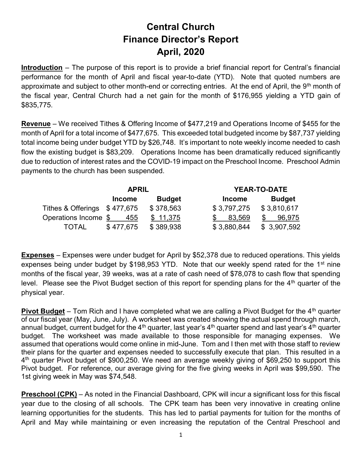## Central Church Finance Director's Report April, 2020

**Introduction** – The purpose of this report is to provide a brief financial report for Central's financial performance for the month of April and fiscal year-to-date (YTD). Note that quoted numbers are approximate and subject to other month-end or correcting entries. At the end of April, the  $9<sup>th</sup>$  month of the fiscal year, Central Church had a net gain for the month of \$176,955 yielding a YTD gain of \$835,775.

Revenue – We received Tithes & Offering Income of \$477,219 and Operations Income of \$455 for the month of April for a total income of \$477,675. This exceeded total budgeted income by \$87,737 yielding total income being under budget YTD by \$26,748. It's important to note weekly income needed to cash flow the existing budget is \$83,209. Operations Income has been dramatically reduced significantly due to reduction of interest rates and the COVID-19 impact on the Preschool Income. Preschool Admin payments to the church has been suspended.

|                              | <b>APRIL</b>  |               |               | <b>YEAR-TO-DATE</b> |  |
|------------------------------|---------------|---------------|---------------|---------------------|--|
|                              | <b>Income</b> | <b>Budget</b> | <b>Income</b> | <b>Budget</b>       |  |
| Tithes & Offerings \$477,675 |               | \$378,563     | \$3,797,275   | \$3,810,617         |  |
| Operations Income \$         | 455           | \$11,375      | 83,569        | 96.975              |  |
| <b>TOTAL</b>                 | \$477,675     | \$389,938     | \$3,880,844   | \$3,907,592         |  |

Expenses – Expenses were under budget for April by \$52,378 due to reduced operations. This yields expenses being under budget by \$198,953 YTD. Note that our weekly spend rated for the 1<sup>st</sup> nine months of the fiscal year, 39 weeks, was at a rate of cash need of \$78,078 to cash flow that spending level. Please see the Pivot Budget section of this report for spending plans for the  $4<sup>th</sup>$  quarter of the physical year.

**Pivot Budget** – Tom Rich and I have completed what we are calling a Pivot Budget for the  $4<sup>th</sup>$  quarter of our fiscal year (May, June, July). A worksheet was created showing the actual spend through march, annual budget, current budget for the 4<sup>th</sup> quarter, last year's 4<sup>th</sup> quarter spend and last year's 4<sup>th</sup> quarter budget. The worksheet was made available to those responsible for managing expenses. We assumed that operations would come online in mid-June. Tom and I then met with those staff to review their plans for the quarter and expenses needed to successfully execute that plan. This resulted in a 4<sup>th</sup> quarter Pivot budget of \$900,250. We need an average weekly giving of \$69,250 to support this Pivot budget. For reference, our average giving for the five giving weeks in April was \$99,590. The 1st giving week in May was \$74,548.

Preschool (CPK) – As noted in the Financial Dashboard, CPK will incur a significant loss for this fiscal year due to the closing of all schools. The CPK team has been very innovative in creating online learning opportunities for the students. This has led to partial payments for tuition for the months of April and May while maintaining or even increasing the reputation of the Central Preschool and